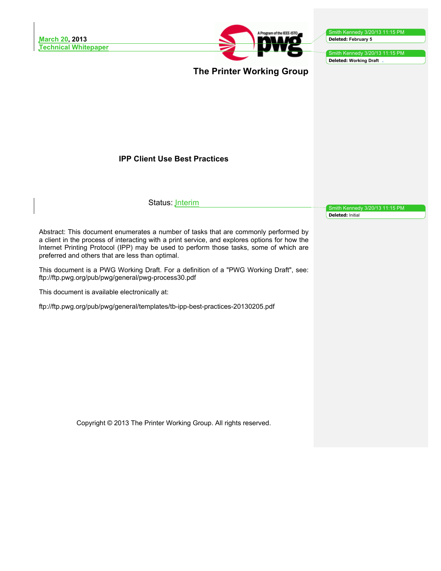

Smith Kennedy 3/20/13 11:15 PM **Deleted: Working Draft** 

**The Printer Working Group**

# **IPP Client Use Best Practices**

Status: **Jnterim** 

Smith Kennedy 3/20/13 11:15 PM **Deleted:** Initial

Abstract: This document enumerates a number of tasks that are commonly performed by a client in the process of interacting with a print service, and explores options for how the Internet Printing Protocol (IPP) may be used to perform those tasks, some of which are preferred and others that are less than optimal.

This document is a PWG Working Draft. For a definition of a "PWG Working Draft", see: ftp://ftp.pwg.org/pub/pwg/general/pwg-process30.pdf

This document is available electronically at:

ftp://ftp.pwg.org/pub/pwg/general/templates/tb-ipp-best-practices-20130205.pdf

Copyright © 2013 The Printer Working Group. All rights reserved.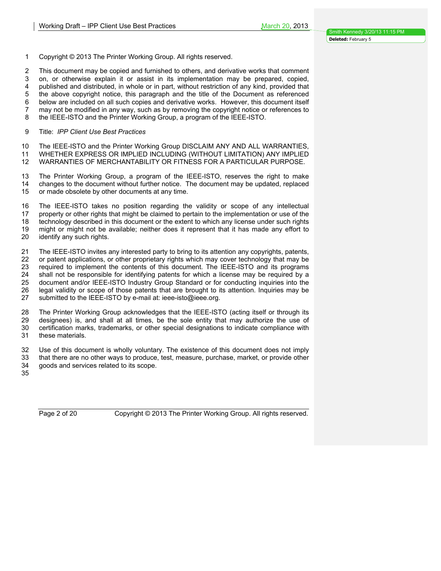Copyright © 2013 The Printer Working Group. All rights reserved.

 This document may be copied and furnished to others, and derivative works that comment on, or otherwise explain it or assist in its implementation may be prepared, copied, published and distributed, in whole or in part, without restriction of any kind, provided that the above copyright notice, this paragraph and the title of the Document as referenced below are included on all such copies and derivative works. However, this document itself may not be modified in any way, such as by removing the copyright notice or references to the IEEE-ISTO and the Printer Working Group, a program of the IEEE-ISTO.

Title: *IPP Client Use Best Practices*

 The IEEE-ISTO and the Printer Working Group DISCLAIM ANY AND ALL WARRANTIES, WHETHER EXPRESS OR IMPLIED INCLUDING (WITHOUT LIMITATION) ANY IMPLIED

WARRANTIES OF MERCHANTABILITY OR FITNESS FOR A PARTICULAR PURPOSE.

 The Printer Working Group, a program of the IEEE-ISTO, reserves the right to make changes to the document without further notice. The document may be updated, replaced or made obsolete by other documents at any time.

 The IEEE-ISTO takes no position regarding the validity or scope of any intellectual 17 property or other rights that might be claimed to pertain to the implementation or use of the<br>18 technology described in this document or the extent to which any license under such rights technology described in this document or the extent to which any license under such rights might or might not be available; neither does it represent that it has made any effort to identify any such rights.

 The IEEE-ISTO invites any interested party to bring to its attention any copyrights, patents, or patent applications, or other proprietary rights which may cover technology that may be required to implement the contents of this document. The IEEE-ISTO and its programs shall not be responsible for identifying patents for which a license may be required by a document and/or IEEE-ISTO Industry Group Standard or for conducting inquiries into the 26 legal validity or scope of those patents that are brought to its attention. Inquiries may be submitted to the IEEE-ISTO by e-mail at: ieee-isto@ieee.org. submitted to the IEEE-ISTO by e-mail at: ieee-isto@ieee.org.

 The Printer Working Group acknowledges that the IEEE-ISTO (acting itself or through its designees) is, and shall at all times, be the sole entity that may authorize the use of certification marks, trademarks, or other special designations to indicate compliance with these materials.

 Use of this document is wholly voluntary. The existence of this document does not imply that there are no other ways to produce, test, measure, purchase, market, or provide other goods and services related to its scope.

Page 2 of 20 Copyright © 2013 The Printer Working Group. All rights reserved.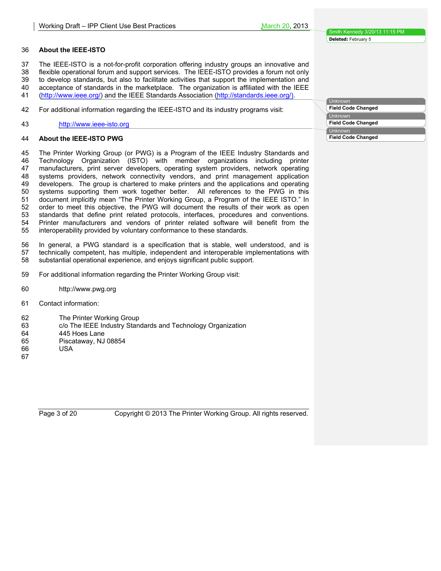#### **About the IEEE-ISTO**

The IEEE-ISTO is a not-for-profit corporation offering industry groups an innovative and

flexible operational forum and support services. The IEEE-ISTO provides a forum not only

to develop standards, but also to facilitate activities that support the implementation and

- acceptance of standards in the marketplace. The organization is affiliated with the IEEE
- (http://www.ieee.org/) and the IEEE Standards Association (http://standards.ieee.org/).

For additional information regarding the IEEE-ISTO and its industry programs visit:

http://www.ieee-isto.org

#### **About the IEEE-ISTO PWG**

 The Printer Working Group (or PWG) is a Program of the IEEE Industry Standards and Technology Organization (ISTO) with member organizations including printer manufacturers, print server developers, operating system providers, network operating systems providers, network connectivity vendors, and print management application developers. The group is chartered to make printers and the applications and operating systems supporting them work together better. All references to the PWG in this document implicitly mean "The Printer Working Group, a Program of the IEEE ISTO." In order to meet this objective, the PWG will document the results of their work as open standards that define print related protocols, interfaces, procedures and conventions. Printer manufacturers and vendors of printer related software will benefit from the interoperability provided by voluntary conformance to these standards.

 In general, a PWG standard is a specification that is stable, well understood, and is technically competent, has multiple, independent and interoperable implementations with substantial operational experience, and enjoys significant public support.

- For additional information regarding the Printer Working Group visit:
- http://www.pwg.org
- Contact information:
- The Printer Working Group
- c/o The IEEE Industry Standards and Technology Organization
- 445 Hoes Lane
- Piscataway, NJ 08854
- USA
- 

Unknown **Field Code Changed** Unknown **Field Code Changed** Unknown **Field Code Changed**

Page 3 of 20 Copyright © 2013 The Printer Working Group. All rights reserved.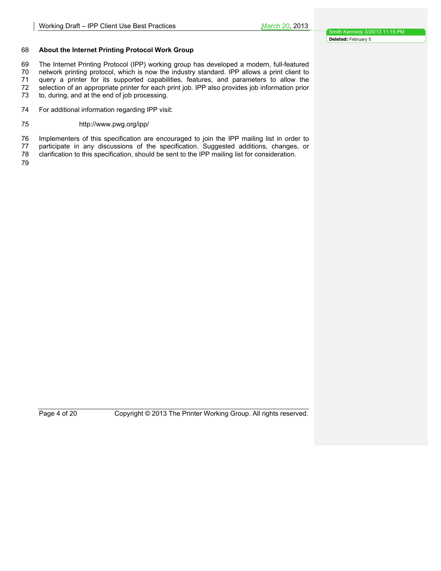#### 68 **About the Internet Printing Protocol Work Group**

69 The Internet Printing Protocol (IPP) working group has developed a modern, full-featured 70 network printing protocol, which is now the industry standard. IPP allows a print client to 71 query a printer for its supported capabilities, features, and parameters to allow the 72 selection of an appropriate printer for each print job. IPP also provides job information prior selection of an appropriate printer for each print job. IPP also provides job information prior

73 to, during, and at the end of job processing.

74 For additional information regarding IPP visit:

#### 75 http://www.pwg.org/ipp/

76 Implementers of this specification are encouraged to join the IPP mailing list in order to

- 77 participate in any discussions of the specification. Suggested additions, changes, or<br>78 clarification to this specification, should be sent to the IPP mailing list for consideration. clarification to this specification, should be sent to the IPP mailing list for consideration.
- 79

Page 4 of 20 Copyright © 2013 The Printer Working Group. All rights reserved.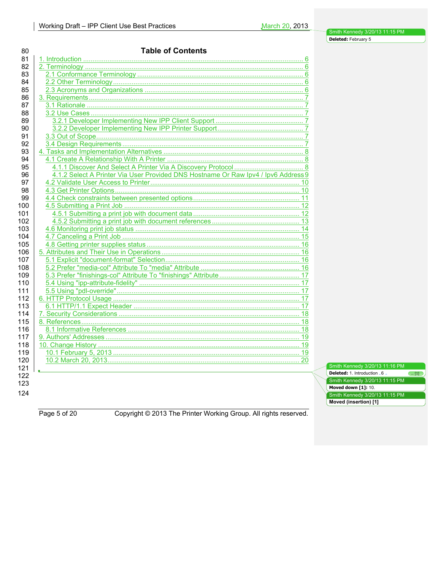| 4.1.2 Select A Printer Via User Provided DNS Hostname Or Raw Ipv4 / Ipv6 Address 9 |  |
|------------------------------------------------------------------------------------|--|
|                                                                                    |  |
|                                                                                    |  |
|                                                                                    |  |
|                                                                                    |  |
|                                                                                    |  |
|                                                                                    |  |
|                                                                                    |  |
|                                                                                    |  |
|                                                                                    |  |
|                                                                                    |  |
|                                                                                    |  |
|                                                                                    |  |
|                                                                                    |  |
|                                                                                    |  |
|                                                                                    |  |
|                                                                                    |  |
|                                                                                    |  |
|                                                                                    |  |
|                                                                                    |  |
|                                                                                    |  |
|                                                                                    |  |
|                                                                                    |  |
|                                                                                    |  |
|                                                                                    |  |
|                                                                                    |  |

Smith Kennedy 3/20/13 11:16 PM **Deleted:** 1. Introduction 6 ... [1] Smith Kennedy 3/20/13 11:15 PM **Moved down [1]: 10.** Smith Kennedy 3/20/13 11:15 PM **Moved (insertion) [1]**

Page 5 of 20 Copyright © 2013 The Printer Working Group. All rights reserved.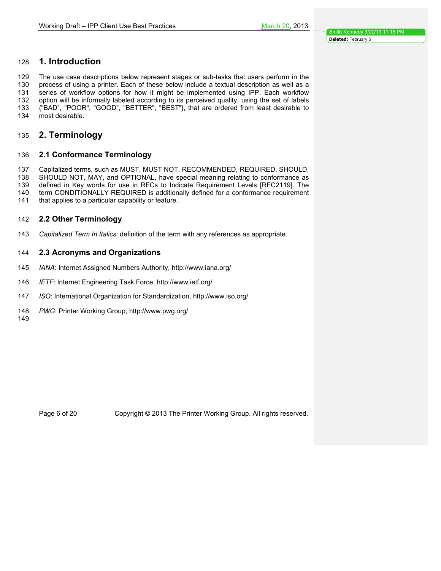# **1. Introduction**

 The use case descriptions below represent stages or sub-tasks that users perform in the process of using a printer. Each of these below include a textual description as well as a series of workflow options for how it might be implemented using IPP. Each workflow option will be informally labeled according to its perceived quality, using the set of labels {"BAD", "POOR", "GOOD", "BETTER", "BEST"}, that are ordered from least desirable to most desirable.

# **2. Terminology**

# **2.1 Conformance Terminology**

Capitalized terms, such as MUST, MUST NOT, RECOMMENDED, REQUIRED, SHOULD,

SHOULD NOT, MAY, and OPTIONAL, have special meaning relating to conformance as

 defined in Key words for use in RFCs to Indicate Requirement Levels [RFC2119]. The term CONDITIONALLY REQUIRED is additionally defined for a conformance requirement

that applies to a particular capability or feature.

# **2.2 Other Terminology**

*Capitalized Term In Italics*: definition of the term with any references as appropriate.

# **2.3 Acronyms and Organizations**

- *IANA*: Internet Assigned Numbers Authority, http://www.iana.org/
- *IETF*: Internet Engineering Task Force, http://www.ietf.org/
- *ISO*: International Organization for Standardization, http://www.iso.org/
- *PWG*: Printer Working Group, http://www.pwg.org/

Page 6 of 20 Copyright © 2013 The Printer Working Group. All rights reserved.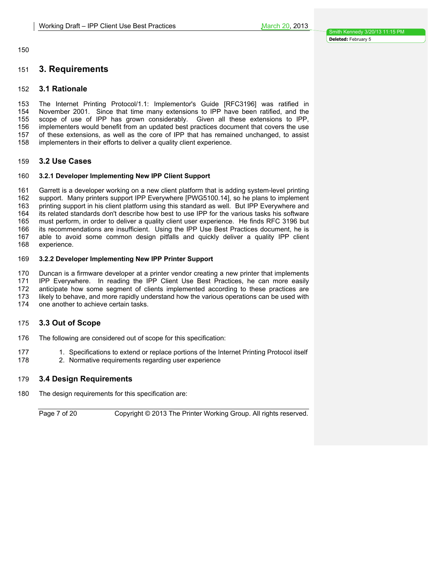# **3. Requirements**

#### **3.1 Rationale**

 The Internet Printing Protocol/1.1: Implementor's Guide [RFC3196] was ratified in November 2001. Since that time many extensions to IPP have been ratified, and the scope of use of IPP has grown considerably. Given all these extensions to IPP, implementers would benefit from an updated best practices document that covers the use of these extensions, as well as the core of IPP that has remained unchanged, to assist implementers in their efforts to deliver a quality client experience.

### **3.2 Use Cases**

#### **3.2.1 Developer Implementing New IPP Client Support**

 Garrett is a developer working on a new client platform that is adding system-level printing support. Many printers support IPP Everywhere [PWG5100.14], so he plans to implement printing support in his client platform using this standard as well. But IPP Everywhere and its related standards don't describe how best to use IPP for the various tasks his software must perform, in order to deliver a quality client user experience. He finds RFC 3196 but its recommendations are insufficient. Using the IPP Use Best Practices document, he is able to avoid some common design pitfalls and quickly deliver a quality IPP client experience.

#### **3.2.2 Developer Implementing New IPP Printer Support**

Duncan is a firmware developer at a printer vendor creating a new printer that implements

IPP Everywhere. In reading the IPP Client Use Best Practices, he can more easily

anticipate how some segment of clients implemented according to these practices are

likely to behave, and more rapidly understand how the various operations can be used with

one another to achieve certain tasks.

#### **3.3 Out of Scope**

The following are considered out of scope for this specification:

- 177 1. Specifications to extend or replace portions of the Internet Printing Protocol itself
- 2. Normative requirements regarding user experience

#### **3.4 Design Requirements**

The design requirements for this specification are:

Page 7 of 20 Copyright © 2013 The Printer Working Group. All rights reserved.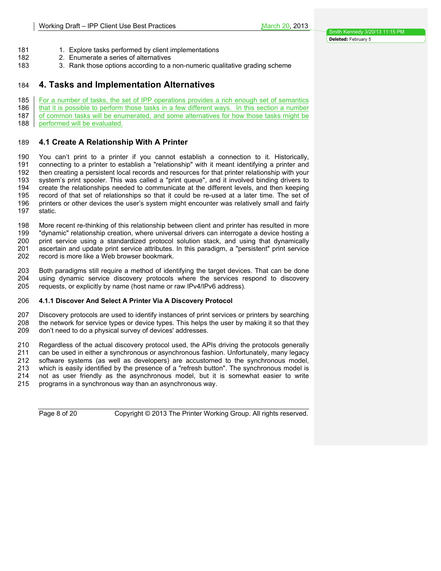- 181 1. Explore tasks performed by client implementations
- 2. Enumerate a series of alternatives
- 3. Rank those options according to a non-numeric qualitative grading scheme

# **4. Tasks and Implementation Alternatives**

185 For a number of tasks, the set of IPP operations provides a rich enough set of semantics

- 186 that it is possible to perform those tasks in a few different ways. In this section a number 187 of common tasks will be enumerated, and some alternatives for how those tasks might be
- 188 performed will be evaluated.

# **4.1 Create A Relationship With A Printer**

 You can't print to a printer if you cannot establish a connection to it. Historically, connecting to a printer to establish a "relationship" with it meant identifying a printer and then creating a persistent local records and resources for that printer relationship with your system's print spooler. This was called a "print queue", and it involved binding drivers to create the relationships needed to communicate at the different levels, and then keeping record of that set of relationships so that it could be re-used at a later time. The set of printers or other devices the user's system might encounter was relatively small and fairly static.

 More recent re-thinking of this relationship between client and printer has resulted in more "dynamic" relationship creation, where universal drivers can interrogate a device hosting a print service using a standardized protocol solution stack, and using that dynamically ascertain and update print service attributes. In this paradigm, a "persistent" print service record is more like a Web browser bookmark.

 Both paradigms still require a method of identifying the target devices. That can be done using dynamic service discovery protocols where the services respond to discovery requests, or explicitly by name (host name or raw IPv4/IPv6 address).

#### **4.1.1 Discover And Select A Printer Via A Discovery Protocol**

 Discovery protocols are used to identify instances of print services or printers by searching the network for service types or device types. This helps the user by making it so that they don't need to do a physical survey of devices' addresses.

 Regardless of the actual discovery protocol used, the APIs driving the protocols generally can be used in either a synchronous or asynchronous fashion. Unfortunately, many legacy software systems (as well as developers) are accustomed to the synchronous model, which is easily identified by the presence of a "refresh button". The synchronous model is not as user friendly as the asynchronous model, but it is somewhat easier to write programs in a synchronous way than an asynchronous way.

Page 8 of 20 Copyright © 2013 The Printer Working Group. All rights reserved.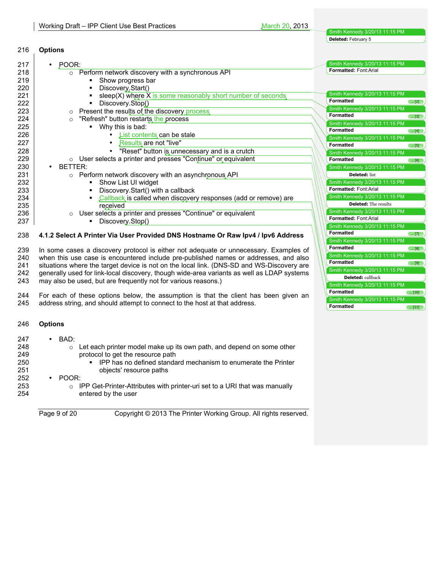**Formatted ... [11]** 

| 216 | <b>Options</b>                                                                             |                                                             |
|-----|--------------------------------------------------------------------------------------------|-------------------------------------------------------------|
| 217 | · POOR:                                                                                    | Smith Kennedy 3/20/13 11:15 PM                              |
| 218 | o Perform network discovery with a synchronous API                                         | Formatted: Font:Arial                                       |
| 219 | Show progress bar                                                                          |                                                             |
| 220 | Discovery Start()                                                                          |                                                             |
| 221 | sleep(X) where X is some reasonably short number of seconds,                               | Smith Kennedy 3/20/13 11:15 PM                              |
| 222 | Discovery.Stop()                                                                           | <b>Formatted</b><br>$\left( \dots [2] \right)$              |
| 223 | Present the results of the discovery process                                               | Smith Kennedy 3/20/13 11:15 PM                              |
| 224 | "Refresh" button restarts the process<br>$\circ$                                           | <b>Formatted</b><br>$\left( \left[ 3\right] \right)$        |
| 225 | Why this is bad:<br>$\mathbf{r}$                                                           | Smith Kennedy 3/20/13 11:15 PM                              |
| 226 | List contents can be stale<br>$\bullet$                                                    | <b>Formatted</b><br>$\left( \left[ 4\right] \right)$        |
| 227 | Results are not "live"                                                                     | Smith Kennedy 3/20/13 11:15 PM                              |
| 228 | "Reset" button is unnecessary and is a crutch                                              | <b>Formatted</b><br>$\left( \dots \left[ 5\right] \right)$  |
| 229 | o User selects a printer and presses "Continue" or equivalent                              | Smith Kennedy 3/20/13 11:15 PM<br><b>Formatted</b>          |
| 230 | BETTER:                                                                                    | $\left(\ldots [6]\right)$<br>Smith Kennedy 3/20/13 11:15 PM |
| 231 | o Perform network discovery with an asynchronous API                                       | <b>Deleted: list</b>                                        |
| 232 | Show List UI widget<br>٠                                                                   | Smith Kennedy 3/20/13 11:15 PM                              |
| 233 | Discovery.Start() with a callback                                                          | Formatted: Font:Arial                                       |
| 234 | Callback is called when discovery responses (add or remove) are                            | Smith Kennedy 3/20/13 11:15 PM                              |
| 235 | received                                                                                   | <b>Deleted:</b> The results                                 |
| 236 | User selects a printer and presses "Continue" or equivalent<br>$\circ$                     | Smith Kennedy 3/20/13 11:15 PM                              |
| 237 | Discovery.Stop()                                                                           | Formatted: Font:Arial                                       |
|     |                                                                                            | Smith Kennedy 3/20/13 11:15 PM                              |
| 238 | 4.1.2 Select A Printer Via User Provided DNS Hostname Or Raw Ipv4 / Ipv6 Address           | <b>Formatted</b><br>$\left( \, [7] \right)$                 |
|     |                                                                                            | Smith Kennedy 3/20/13 11:15 PM                              |
| 239 | In some cases a discovery protocol is either not adequate or unnecessary. Examples of      | <b>Formatted</b><br>$\left( \dots \left[ 8\right] \right)$  |
| 240 | when this use case is encountered include pre-published names or addresses, and also       | Smith Kennedy 3/20/13 11:15 PM                              |
| 241 | situations where the target device is not on the local link. (DNS-SD and WS-Discovery are  | <b>Formatted</b><br>$\left( \dots \left[ 9\right] \right)$  |
| 242 | generally used for link-local discovery, though wide-area variants as well as LDAP systems | Smith Kennedy 3/20/13 11:15 PM                              |
| 243 | may also be used, but are frequently not for various reasons.)                             | <b>Deleted:</b> callback                                    |
|     |                                                                                            | Smith Kennedy 3/20/13 11:15 PM                              |
| 244 | For each of these options below, the assumption is that the client has been given an       | <b>Formatted</b><br>$\left( \dots [10] \right)$             |
| 24E | address strips, and should attempt to connect to the best at that address                  | Smith Kennedy 3/20/13 11:15 PM                              |

245 address string, and should attempt to connect to the host at that address.

# 246 **Options**

| 247 | BAD:<br>٠                                                                             |
|-----|---------------------------------------------------------------------------------------|
| 248 | Let each printer model make up its own path, and depend on some other<br>$\circ$      |
| 249 | protocol to get the resource path                                                     |
| 250 | IPP has no defined standard mechanism to enumerate the Printer<br>$\blacksquare$      |
| 251 | objects' resource paths                                                               |
| 252 | POOR:<br>٠                                                                            |
| 253 | IPP Get-Printer-Attributes with printer-uri set to a URI that was manually<br>$\circ$ |
| 254 | entered by the user                                                                   |
|     |                                                                                       |
|     |                                                                                       |

Page 9 of 20 Copyright © 2013 The Printer Working Group. All rights reserved.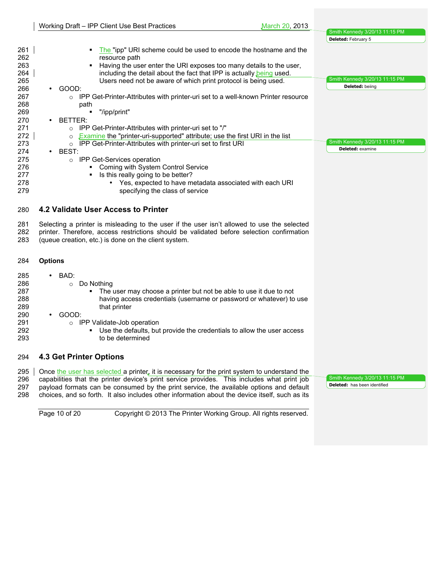|                   | Working Draft - IPP Client Use Best Practices<br>March 20, 2013                                                                                                                                                                                                                          |                                                              |
|-------------------|------------------------------------------------------------------------------------------------------------------------------------------------------------------------------------------------------------------------------------------------------------------------------------------|--------------------------------------------------------------|
|                   |                                                                                                                                                                                                                                                                                          | Smith Kennedy 3/20/13 11:15 PM<br><b>Deleted:</b> February 5 |
| 261<br>262        | The "ipp" URI scheme could be used to encode the hostname and the<br>resource path                                                                                                                                                                                                       |                                                              |
| 263<br>264        | Having the user enter the URI exposes too many details to the user,<br>including the detail about the fact that IPP is actually being used.                                                                                                                                              |                                                              |
| 265               | Users need not be aware of which print protocol is being used.                                                                                                                                                                                                                           | Smith Kennedy 3/20/13 11:15 PM<br>Deleted: beiing            |
| 266               | GOOD:                                                                                                                                                                                                                                                                                    |                                                              |
| 267<br>268        | IPP Get-Printer-Attributes with printer-uri set to a well-known Printer resource<br>$\circ$<br>path                                                                                                                                                                                      |                                                              |
| 269               | "/ipp/print"                                                                                                                                                                                                                                                                             |                                                              |
| 270<br>271        | BETTER:<br>IPP Get-Printer-Attributes with printer-uri set to "/"<br>$\circ$                                                                                                                                                                                                             |                                                              |
| 272               | <b>Examine</b> the "printer-uri-supported" attribute; use the first URI in the list                                                                                                                                                                                                      |                                                              |
| 273               | IPP Get-Printer-Attributes with printer-uri set to first URI<br>$\circ$                                                                                                                                                                                                                  | Smith Kennedy 3/20/13 11:15 PM                               |
| 274               | BEST:                                                                                                                                                                                                                                                                                    | Deleted: examine                                             |
| 275<br>276        | IPP Get-Services operation<br>$\circ$<br><b>Coming with System Control Service</b>                                                                                                                                                                                                       |                                                              |
| 277               | Is this really going to be better?                                                                                                                                                                                                                                                       |                                                              |
| 278               | Yes, expected to have metadata associated with each URI                                                                                                                                                                                                                                  |                                                              |
| 279               | specifying the class of service                                                                                                                                                                                                                                                          |                                                              |
| 280               | 4.2 Validate User Access to Printer                                                                                                                                                                                                                                                      |                                                              |
| 281<br>282<br>283 | Selecting a printer is misleading to the user if the user isn't allowed to use the selected<br>printer. Therefore, access restrictions should be validated before selection confirmation<br>(queue creation, etc.) is done on the client system.                                         |                                                              |
|                   |                                                                                                                                                                                                                                                                                          |                                                              |
| 284               | <b>Options</b>                                                                                                                                                                                                                                                                           |                                                              |
| 285               | BAD:                                                                                                                                                                                                                                                                                     |                                                              |
| 286               | Do Nothing<br>$\circ$                                                                                                                                                                                                                                                                    |                                                              |
| 287               | The user may choose a printer but not be able to use it due to not                                                                                                                                                                                                                       |                                                              |
| 288<br>289        | having access credentials (username or password or whatever) to use<br>that printer                                                                                                                                                                                                      |                                                              |
| 290               | GOOD:                                                                                                                                                                                                                                                                                    |                                                              |
| 291               | <b>IPP Validate-Job operation</b><br>$\circ$                                                                                                                                                                                                                                             |                                                              |
| 292               | Use the defaults, but provide the credentials to allow the user access                                                                                                                                                                                                                   |                                                              |
| 293               | to be determined                                                                                                                                                                                                                                                                         |                                                              |
| 294               | <b>4.3 Get Printer Options</b>                                                                                                                                                                                                                                                           |                                                              |
| 295               | Once the user has selected a printer, it is necessary for the print system to understand the                                                                                                                                                                                             | Smith Kennedy 3/20/13 11:15 PM                               |
| 296<br>297<br>298 | capabilities that the printer device's print service provides. This includes what print job<br>payload formats can be consumed by the print service, the available options and default<br>choices, and so forth. It also includes other information about the device itself, such as its | <b>Deleted:</b> has been identified                          |

Page 10 of 20 Copyright © 2013 The Printer Working Group. All rights reserved.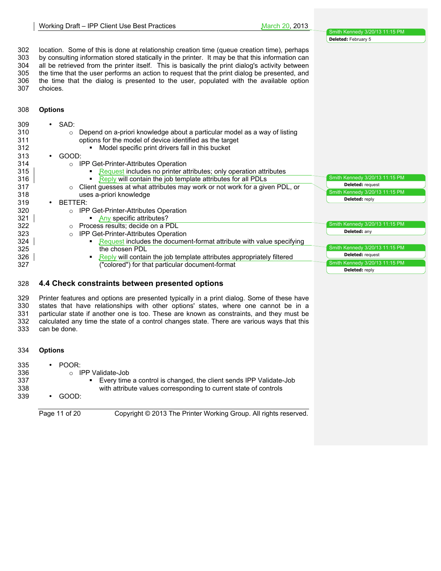302 location. Some of this is done at relationship creation time (queue creation time), perhaps<br>303 by consulting information stored statically in the printer. It may be that this information can by consulting information stored statically in the printer. It may be that this information can all be retrieved from the printer itself. This is basically the print dialog's activity between the time that the user performs an action to request that the print dialog be presented, and the time that the dialog is presented to the user, populated with the available option choices.

# **Options**

| 309<br>310<br>311<br>312 | $\cdot$ SAD:<br>Depend on a-priori knowledge about a particular model as a way of listing<br>$\circ$<br>options for the model of device identified as the target<br>Model specific print drivers fall in this bucket<br>٠ |                                |
|--------------------------|---------------------------------------------------------------------------------------------------------------------------------------------------------------------------------------------------------------------------|--------------------------------|
| 313                      | GOOD:                                                                                                                                                                                                                     |                                |
| 314                      | ○ IPP Get-Printer-Attributes Operation                                                                                                                                                                                    |                                |
| 315                      | Request includes no printer attributes; only operation attributes<br>٠                                                                                                                                                    |                                |
| 316                      | Reply will contain the job template attributes for all PDLs<br>٠                                                                                                                                                          | Smith Kennedy 3/20/13 11:15 PM |
| 317                      | Client guesses at what attributes may work or not work for a given PDL, or<br>$\circ$                                                                                                                                     | Deleted: request               |
| 318                      | uses a-priori knowledge                                                                                                                                                                                                   | Smith Kennedy 3/20/13 11:15 PM |
| 319                      | BETTER:                                                                                                                                                                                                                   | Deleted: reply                 |
| 320                      | ○ IPP Get-Printer-Attributes Operation                                                                                                                                                                                    |                                |
| 321                      | Any specific attributes?<br>٠                                                                                                                                                                                             |                                |
| 322                      | o Process results; decide on a PDL                                                                                                                                                                                        | Smith Kennedy 3/20/13 11:15 PM |
| 323                      | <b>IPP Get-Printer-Attributes Operation</b><br>$\circ$                                                                                                                                                                    | Deleted: any                   |
| 324                      | Request includes the document-format attribute with value specifying<br>٠                                                                                                                                                 |                                |
| 325                      | the chosen PDL                                                                                                                                                                                                            | Smith Kennedy 3/20/13 11:15 PM |
| 326                      | Reply will contain the job template attributes appropriately filtered<br>٠                                                                                                                                                | Deleted: request               |
| 327                      | ("colored") for that particular document-format                                                                                                                                                                           | Smith Kennedy 3/20/13 11:15 PM |
|                          |                                                                                                                                                                                                                           | Deleted: reply                 |

## **4.4 Check constraints between presented options**

 Printer features and options are presented typically in a print dialog. Some of these have states that have relationships with other options' states, where one cannot be in a particular state if another one is too. These are known as constraints, and they must be calculated any time the state of a control changes state. There are various ways that this can be done.

#### **Options**

| 335 | $\cdot$ POOR:                                                        |
|-----|----------------------------------------------------------------------|
| 336 | IPP Validate-Job<br>$\cap$                                           |
| 337 | • Every time a control is changed, the client sends IPP Validate-Job |
| 338 | with attribute values corresponding to current state of controls     |
| 339 | GOOD:<br>$\bullet$                                                   |
|     |                                                                      |

Page 11 of 20 Copyright © 2013 The Printer Working Group. All rights reserved.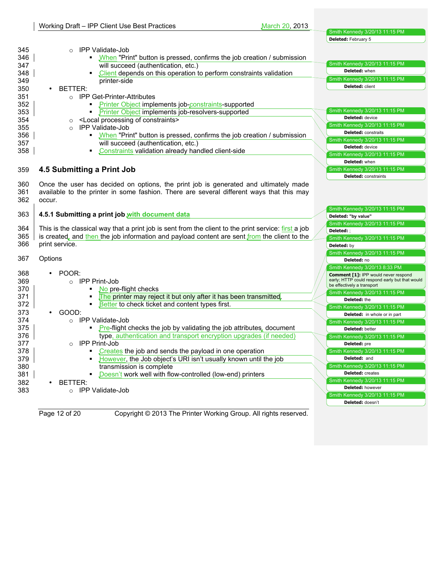| 345               | IPP Validate-Job<br>$\circ$                                                                                                                                                                |                                                                |
|-------------------|--------------------------------------------------------------------------------------------------------------------------------------------------------------------------------------------|----------------------------------------------------------------|
| 346               | When "Print" button is pressed, confirms the job creation / submission<br>٠                                                                                                                |                                                                |
| 347               | will succeed (authentication, etc.)                                                                                                                                                        | Smith Kennedy 3/20/13 11:15 PM                                 |
| 348               | Client depends on this operation to perform constraints validation                                                                                                                         | Deleted: when                                                  |
| 349               | printer-side                                                                                                                                                                               | Smith Kennedy 3/20/13 11:15 PM                                 |
| 350               | BETTER:                                                                                                                                                                                    | Deleted: client                                                |
| 351               | <b>IPP Get-Printer-Attributes</b><br>$\circ$                                                                                                                                               |                                                                |
| 352               | Printer Object implements job-constraints-supported<br>$\blacksquare$                                                                                                                      |                                                                |
| 353               | Printer Object implements job-resolvers-supported<br>$\blacksquare$                                                                                                                        | Smith Kennedy 3/20/13 11:15 PM                                 |
| 354               | <local constraints="" of="" processing=""><br/><math>\circ</math></local>                                                                                                                  | Deleted: device                                                |
| 355               | <b>IPP Validate-Job</b><br>$\circ$                                                                                                                                                         | Smith Kennedy 3/20/13 11:15 PM                                 |
| 356               | • When "Print" button is pressed, confirms the job creation / submission                                                                                                                   | <b>Deleted:</b> constraits                                     |
| 357               | will succeed (authentication, etc.)                                                                                                                                                        | Smith Kennedy 3/20/13 11:15 PM                                 |
| 358               | Constraints validation already handled client-side<br>٠                                                                                                                                    | Deleted: device                                                |
|                   |                                                                                                                                                                                            | Smith Kennedy 3/20/13 11:15 PM                                 |
|                   |                                                                                                                                                                                            | Deleted: when                                                  |
| 359               | 4.5 Submitting a Print Job                                                                                                                                                                 | Smith Kennedy 3/20/13 11:15 PM                                 |
|                   |                                                                                                                                                                                            | <b>Deleted:</b> constraints                                    |
| 360<br>361<br>362 | Once the user has decided on options, the print job is generated and ultimately made<br>available to the printer in some fashion. There are several different ways that this may<br>occur. |                                                                |
| 363               | 4.5.1 Submitting a print job with document data                                                                                                                                            | Smith Kennedy 3/20/13 11:15 PM                                 |
|                   |                                                                                                                                                                                            | Deleted: "by value"                                            |
| 364               | This is the classical way that a print job is sent from the client to the print service: first a job                                                                                       | Smith Kennedy 3/20/13 11:15 PM<br>Deleted: :                   |
| 365               | is created, and then the job information and payload content are sent from the client to the                                                                                               | Smith Kennedy 3/20/13 11:15 PM                                 |
| 366               | print service.                                                                                                                                                                             | Deleted: by                                                    |
|                   |                                                                                                                                                                                            | Smith Kennedy 3/20/13 11:15 PM                                 |
| 367               | Options                                                                                                                                                                                    | Deleted: no                                                    |
|                   |                                                                                                                                                                                            | Smith Kennedy 3/20/13 8:33 PM                                  |
| 368               | POOR:                                                                                                                                                                                      | Comment [1]: IPP would never respond                           |
| 369               | ○ IPP Print-Job                                                                                                                                                                            | early; HTTP could respond early but that would                 |
| 370               | No pre-flight checks                                                                                                                                                                       | be effectively a transport                                     |
| 371               | The printer may reject it but only after it has been transmitted.<br>$\blacksquare$                                                                                                        | Smith Kennedy 3/20/13 11:15 PM                                 |
| 372               | Better to check ticket and content types first.                                                                                                                                            | Deleted: the                                                   |
| 373               | GOOD:                                                                                                                                                                                      | Smith Kennedy 3/20/13 11:15 PM<br>Deleted: in whole or in part |
| 374               | ○ IPP Validate-Job                                                                                                                                                                         | Smith Kennedy 3/20/13 11:15 PM                                 |
| 375               | Pre-flight checks the job by validating the job attributes, document                                                                                                                       | Deleted: better                                                |
| 376               | type, authentication and transport encryption upgrades (if needed)                                                                                                                         | Smith Kennedy 3/20/13 11:15 PM                                 |
| 377               | <b>IPP Print-Job</b><br>$\circ$                                                                                                                                                            | Deleted: pre                                                   |
| 378               | Creates the job and sends the payload in one operation<br>$\blacksquare$                                                                                                                   | Smith Kennedy 3/20/13 11:15 PM                                 |
| 379               | However, the Job object's URI isn't usually known until the job                                                                                                                            | Deleted: and                                                   |
| 380               | transmission is complete                                                                                                                                                                   | Smith Kennedy 3/20/13 11:15 PM                                 |
| 381               | Doesn't work well with flow-controlled (low-end) printers                                                                                                                                  | <b>Deleted:</b> creates                                        |
| 382               | BETTER:                                                                                                                                                                                    | Smith Kennedy 3/20/13 11:15 PM                                 |
| 383               | ○ IPP Validate-Job                                                                                                                                                                         | Deleted: however                                               |
|                   |                                                                                                                                                                                            | Smith Kennedy 3/20/13 11:15 PM                                 |
|                   |                                                                                                                                                                                            | Deleted: doesn't                                               |
|                   | Page 12 of 20<br>Copyright © 2013 The Printer Working Group. All rights reserved.                                                                                                          |                                                                |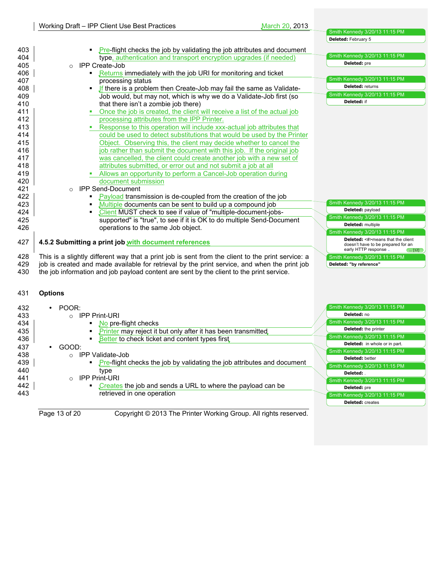**Deleted:** February 5

| 403 | • Pre-flight checks the job by validating the job attributes and document                         |                                                             |
|-----|---------------------------------------------------------------------------------------------------|-------------------------------------------------------------|
| 404 | type, authentication and transport encryption upgrades (if needed)                                | Smith Kennedy 3/20/13 11:15 PM                              |
| 405 | <b>IPP Create-Job</b><br>$\circ$                                                                  | Deleted: pre                                                |
| 406 | Returns immediately with the job URI for monitoring and ticket<br>٠                               |                                                             |
| 407 | processing status                                                                                 | Smith Kennedy 3/20/13 11:15 PM                              |
| 408 | If there is a problem then Create-Job may fail the same as Validate-                              | Deleted: returns                                            |
| 409 | Job would, but may not, which is why we do a Validate-Job first (so                               | Smith Kennedy 3/20/13 11:15 PM                              |
| 410 | that there isn't a zombie job there)                                                              | <b>Deleted:</b> if                                          |
| 411 | Once the job is created, the client will receive a list of the actual job                         |                                                             |
| 412 | processing attributes from the IPP Printer.                                                       |                                                             |
| 413 | Response to this operation will include xxx-actual job attributes that                            |                                                             |
| 414 | could be used to detect substitutions that would be used by the Printer                           |                                                             |
| 415 | Object. Observing this, the client may decide whether to cancel the                               |                                                             |
| 416 | job rather than submit the document with this job. If the original job                            |                                                             |
| 417 | was cancelled, the client could create another job with a new set of                              |                                                             |
| 418 | attributes submitted, or error out and not submit a job at all                                    |                                                             |
| 419 | Allows an opportunity to perform a Cancel-Job operation during                                    |                                                             |
| 420 | document submission                                                                               |                                                             |
| 421 | <b>IPP Send-Document</b>                                                                          |                                                             |
|     | $\circ$<br>Payload transmission is de-coupled from the creation of the job                        |                                                             |
| 422 | Multiple documents can be sent to build up a compound job                                         | Smith Kennedy 3/20/13 11:15 PM                              |
| 423 |                                                                                                   | Deleted: payload                                            |
| 424 | Client MUST check to see if value of "multiple-document-jobs-                                     | Smith Kennedy 3/20/13 11:15 PM                              |
| 425 | supported" is "true", to see if it is OK to do multiple Send-Document                             | Deleted: multiple                                           |
| 426 | operations to the same Job object.                                                                | Smith Kennedy 3/20/13 11:15 PM                              |
| 427 | 4.5.2 Submitting a print job with document references                                             | <b>Deleted:</b> <#>means that the client                    |
|     |                                                                                                   | doesn't have to be prepared for an<br>early HTTP response.  |
| 428 | This is a slightly different way that a print job is sent from the client to the print service: a | $\left(\dots [12]\right)$<br>Smith Kennedy 3/20/13 11:15 PM |
| 429 | job is created and made available for retrieval by the print service, and when the print job      | Deleted: "by reference"                                     |
| 430 | the job information and job payload content are sent by the client to the print service.          |                                                             |
|     |                                                                                                   |                                                             |
|     |                                                                                                   |                                                             |
| 431 | <b>Options</b>                                                                                    |                                                             |
|     |                                                                                                   |                                                             |
| 432 | POOR:                                                                                             | Smith Kennedy 3/20/13 11:15 PM                              |
| 433 | $\circ$ IPP Print-URI                                                                             | Deleted: no                                                 |
| 434 | No pre-flight checks                                                                              | Smith Kennedy 3/20/13 11:15 PM                              |
| 435 | Printer may reject it but only after it has been transmitted.                                     | Deleted: the printer                                        |
| 436 | Better to check ticket and content types first                                                    | Smith Kennedy 3/20/13 11:15 PM                              |
| 437 | GOOD:                                                                                             | <b>Deleted:</b> in whole or in part.                        |
| 438 | IPP Validate-Job<br>$\circ$                                                                       | Smith Kennedy 3/20/13 11:15 PM                              |
| 439 | <b>Pre-flight checks the job by validating the job attributes and document</b>                    | Deleted: better                                             |
| 440 | type                                                                                              | Smith Kennedy 3/20/13 11:15 PM                              |
| 441 | <b>IPP Print-URI</b><br>$\circ$                                                                   | Deleted:                                                    |
| 442 | Creates the job and sends a URL to where the payload can be                                       | Smith Kennedy 3/20/13 11:15 PM<br>Deleted: pre              |
| 443 | retrieved in one operation                                                                        |                                                             |
|     |                                                                                                   | Smith Kennedy 3/20/13 11:15 PM<br><b>Deleted:</b> creates   |
|     |                                                                                                   |                                                             |

Page 13 of 20 Copyright © 2013 The Printer Working Group. All rights reserved.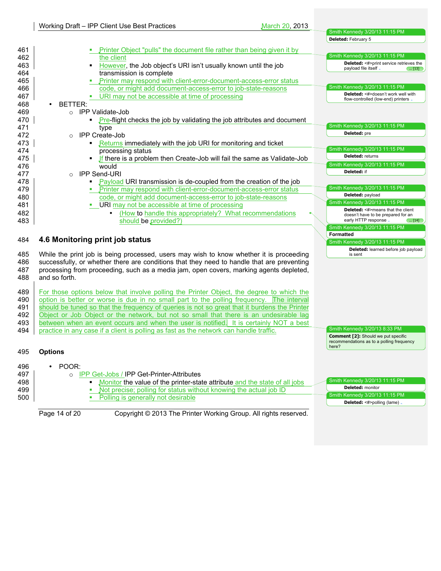|     |                                                                                              | <b>Deleted:</b> February 5                                                              |
|-----|----------------------------------------------------------------------------------------------|-----------------------------------------------------------------------------------------|
| 461 | Printer Object "pulls" the document file rather than being given it by                       |                                                                                         |
| 462 | the client                                                                                   | Smith Kennedy 3/20/13 11:15 PM                                                          |
| 463 | However, the Job object's URI isn't usually known until the job<br>$\blacksquare$            | <b>Deleted:</b> <#>print service retrieves the                                          |
| 464 | transmission is complete                                                                     | payload file itself.<br>$\left( \dots [13] \right)$                                     |
| 465 | Printer may respond with client-error-document-access-error status                           |                                                                                         |
| 466 | code, or might add document-access-error to job-state-reasons                                | Smith Kennedy 3/20/13 11:15 PM                                                          |
| 467 | URI may not be accessible at time of processing                                              | Deleted: <#>doesn't work well with                                                      |
| 468 | BETTER:<br>$\bullet$                                                                         | flow-controlled (low-end) printers                                                      |
| 469 | o IPP Validate-Job                                                                           |                                                                                         |
| 470 | <b>Pre-flight checks the job by validating the job attributes and document</b>               |                                                                                         |
| 471 | type                                                                                         | Smith Kennedy 3/20/13 11:15 PM                                                          |
| 472 | <b>IPP Create-Job</b>                                                                        | Deleted: pre                                                                            |
| 473 | $\circ$<br>Returns immediately with the job URI for monitoring and ticket                    |                                                                                         |
|     |                                                                                              | Smith Kennedy 3/20/13 11:15 PM                                                          |
| 474 | processing status                                                                            | Deleted: returns                                                                        |
| 475 | If there is a problem then Create-Job will fail the same as Validate-Job                     | Smith Kennedy 3/20/13 11:15 PM                                                          |
| 476 | would                                                                                        | Deleted: if                                                                             |
| 477 | <b>IPP Send-URI</b><br>$\circ$                                                               |                                                                                         |
| 478 | • Payload URI transmission is de-coupled from the creation of the job                        | Smith Kennedy 3/20/13 11:15 PM                                                          |
| 479 | • Printer may respond with client-error-document-access-error status                         | Deleted: payload                                                                        |
| 480 | code, or might add document-access-error to job-state-reasons                                | Smith Kennedy 3/20/13 11:15 PM                                                          |
| 481 | URI may not be accessible at time of processing                                              | <b>Deleted:</b> <#>means that the client                                                |
| 482 | (How to handle this appropriately? What recommendations<br>$\bullet$                         | doesn't have to be prepared for an                                                      |
| 483 | should be provided?)                                                                         | early HTTP response<br>$\left( \dots [14] \right)$<br>Smith Kennedy 3/20/13 11:15 PM    |
|     |                                                                                              | <b>Formatted</b>                                                                        |
| 484 | 4.6 Monitoring print job status                                                              | Smith Kennedy 3/20/13 11:15 PM                                                          |
|     |                                                                                              | Deleted: learned before job payload                                                     |
| 485 | While the print job is being processed, users may wish to know whether it is proceeding      | is sent                                                                                 |
| 486 | successfully, or whether there are conditions that they need to handle that are preventing   |                                                                                         |
| 487 | processing from proceeding, such as a media jam, open covers, marking agents depleted,       |                                                                                         |
| 488 | and so forth.                                                                                |                                                                                         |
|     |                                                                                              |                                                                                         |
| 489 | For those options below that involve polling the Printer Object, the degree to which the     |                                                                                         |
| 490 | option is better or worse is due in no small part to the polling frequency. The interval     |                                                                                         |
| 491 | should be tuned so that the frequency of queries is not so great that it burdens the Printer |                                                                                         |
| 492 | Object or Job Object or the network, but not so small that there is an undesirable lag       |                                                                                         |
| 493 | between when an event occurs and when the user is notified. It is certainly NOT a best       |                                                                                         |
| 494 | practice in any case if a client is polling as fast as the network can handle traffic.       | Smith Kennedy 3/20/13 8:33 PM                                                           |
|     |                                                                                              | <b>Comment [2]:</b> Should we put specific<br>recommendations as to a polling frequency |
|     |                                                                                              | here?                                                                                   |
| 495 | <b>Options</b>                                                                               |                                                                                         |
|     |                                                                                              |                                                                                         |
| 496 | POOR:                                                                                        |                                                                                         |
| 497 | o IPP Get-Jobs / IPP Get-Printer-Attributes                                                  |                                                                                         |
| 498 | Monitor the value of the printer-state attribute and the state of all jobs                   | Smith Kennedy 3/20/13 11:15 PM<br><b>Deleted:</b> monitor                               |
| 499 | Not precise; polling for status without knowing the actual job ID                            |                                                                                         |
|     |                                                                                              |                                                                                         |
| 500 | Polling is generally not desirable<br>٠                                                      | Smith Kennedy 3/20/13 11:15 PM                                                          |
|     | Copyright © 2013 The Printer Working Group. All rights reserved.<br>Page 14 of 20            | Deleted: <#>polling (lame) .                                                            |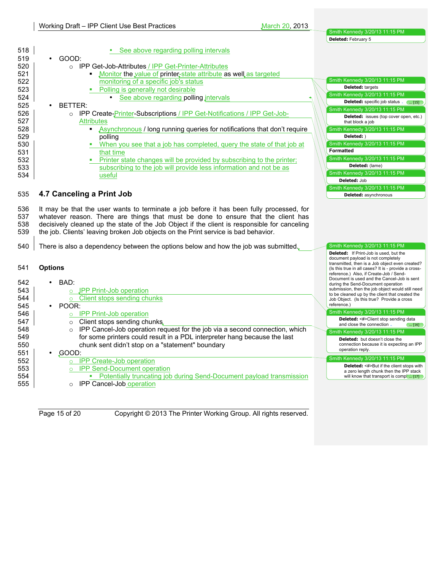|     |                                                                                              | <b>Deleted:</b> Feblualy S                                                                                                                           |
|-----|----------------------------------------------------------------------------------------------|------------------------------------------------------------------------------------------------------------------------------------------------------|
| 518 | See above regarding polling intervals                                                        |                                                                                                                                                      |
| 519 | GOOD:                                                                                        |                                                                                                                                                      |
| 520 | ○ IPP Get-Job-Attributes / IPP Get-Printer-Attributes                                        |                                                                                                                                                      |
| 521 | • Monitor the value of printer-state attribute as well as targeted                           |                                                                                                                                                      |
| 522 | monitoring of a specific job's status                                                        | Smith Kennedy 3/20/13 11:15 PM                                                                                                                       |
| 523 | Polling is generally not desirable<br>٠                                                      | <b>Deleted:</b> targets                                                                                                                              |
| 524 | See above regarding polling intervals<br>$\bullet$                                           | Smith Kennedy 3/20/13 11:15 PM                                                                                                                       |
| 525 | BETTER:                                                                                      | Deleted: specific job status . ( [15]                                                                                                                |
| 526 | IPP Create- <b>Printer-Subscriptions / IPP Get-Notifications / IPP Get-Job-</b><br>$\circ$   | Smith Kennedy 3/20/13 11:15 PM                                                                                                                       |
| 527 | <b>Attributes</b>                                                                            | <b>Deleted:</b> issues (top cover open, etc.)<br>that block a job                                                                                    |
| 528 | Asynchronous / long running queries for notifications that don't require<br>$\blacksquare$   | Smith Kennedy 3/20/13 11:15 PM                                                                                                                       |
| 529 | polling                                                                                      | Deleted: )                                                                                                                                           |
| 530 | • When you see that a job has completed, query the state of that job at                      | Smith Kennedy 3/20/13 11:15 PM                                                                                                                       |
| 531 | that time                                                                                    | <b>Formatted</b>                                                                                                                                     |
| 532 | Printer state changes will be provided by subscribing to the printer;                        | Smith Kennedy 3/20/13 11:15 PM                                                                                                                       |
| 533 | subscribing to the job will provide less information and not be as                           | Deleted: (lame)                                                                                                                                      |
| 534 | useful                                                                                       | Smith Kennedy 3/20/13 11:15 PM                                                                                                                       |
|     |                                                                                              | Deleted: Job                                                                                                                                         |
|     |                                                                                              | Smith Kennedy 3/20/13 11:15 PM                                                                                                                       |
| 535 | 4.7 Canceling a Print Job                                                                    | <b>Deleted:</b> asynchronous                                                                                                                         |
|     |                                                                                              |                                                                                                                                                      |
| 536 | It may be that the user wants to terminate a job before it has been fully processed, for     |                                                                                                                                                      |
| 537 | whatever reason. There are things that must be done to ensure that the client has            |                                                                                                                                                      |
| 538 | decisively cleaned up the state of the Job Object if the client is responsible for canceling |                                                                                                                                                      |
| 539 | the job. Clients' leaving broken Job objects on the Print service is bad behavior.           |                                                                                                                                                      |
| 540 | There is also a dependency between the options below and how the job was submitted.          | Smith Kennedy 3/20/13 11:15 PM                                                                                                                       |
|     |                                                                                              | <b>Deleted:</b> If Print-Job is used, but the                                                                                                        |
|     |                                                                                              | document payload is not completely                                                                                                                   |
| 541 | <b>Options</b>                                                                               | transmitted, then is a Job object even created?<br>(Is this true in all cases? It is - provide a cross-                                              |
|     |                                                                                              | reference.) Also, if Create-Job / Send-                                                                                                              |
| 542 | BAD:                                                                                         | Document is used and the Cancel-Job is sent<br>during the Send-Document operation                                                                    |
| 543 | JPP Print-Job operation                                                                      | submission, then the job object would still need                                                                                                     |
| 544 | Client stops sending chunks<br>$\circ$                                                       | to be cleaned up by the client that created the<br>Job Object. (Is this true? Provide a cross                                                        |
| 545 | · POOR:                                                                                      | reference.)                                                                                                                                          |
| 546 | $\circ$ IPP Print-Job operation                                                              | Smith Kennedy 3/20/13 11:15 PM                                                                                                                       |
| 547 | o Client stops sending chunks.                                                               | <b>Deleted:</b> <#>Client stop sending data<br>and close the connection.<br>[16]                                                                     |
| 548 | o IPP Cancel-Job operation request for the job via a second connection, which                | Smith Kennedy 3/20/13 11:15 PM                                                                                                                       |
| 549 | for some printers could result in a PDL interpreter hang because the last                    | Deleted: but doesn't close the                                                                                                                       |
| 550 | chunk sent didn't stop on a "statement" boundary                                             | connection because it is expecting an IPP                                                                                                            |
| 551 | GOOD:                                                                                        | operation reply.                                                                                                                                     |
| 552 | o IPP Create-Job operation                                                                   | Smith Kennedy 3/20/13 11:15 PM                                                                                                                       |
| 553 | <b>IPP Send-Document operation</b>                                                           | Deleted: <#>But if the client stops with                                                                                                             |
| 554 | • Potentially truncating job during Send-Document payload transmission                       | a zero length chunk then the IPP stack<br>will know that transport is comp $\left(\dots\left[\begin{smallmatrix} 17 \end{smallmatrix}\right]\right)$ |
|     | IPP Cancel-Job operation                                                                     |                                                                                                                                                      |

o IPP Cancel-Job operation

Page 15 of 20 Copyright © 2013 The Printer Working Group. All rights reserved.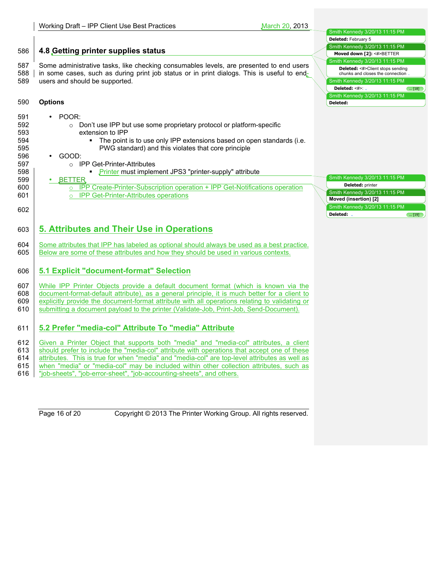|     |                                                                                                | Deleted: February 5                                                              |
|-----|------------------------------------------------------------------------------------------------|----------------------------------------------------------------------------------|
|     |                                                                                                | Smith Kennedy 3/20/13 11:15 PM                                                   |
| 586 | 4.8 Getting printer supplies status                                                            | Moved down [2]: <#>BETTER                                                        |
|     |                                                                                                | Smith Kennedy 3/20/13 11:15 PM                                                   |
| 587 | Some administrative tasks, like checking consumables levels, are presented to end users        | Deleted: <#>Client stops sending                                                 |
| 588 | in some cases, such as during print job status or in print dialogs. This is useful to end-     | chunks and closes the connection.                                                |
| 589 | users and should be supported.                                                                 | Smith Kennedy 3/20/13 11:15 PM                                                   |
|     |                                                                                                | Deleted: <#>: .<br>$\left( \dots [18] \right)$<br>Smith Kennedy 3/20/13 11:15 PM |
| 590 | <b>Options</b>                                                                                 | Deleted:                                                                         |
|     |                                                                                                |                                                                                  |
| 591 | POOR:                                                                                          |                                                                                  |
| 592 | Don't use IPP but use some proprietary protocol or platform-specific<br>$\circ$                |                                                                                  |
| 593 | extension to IPP                                                                               |                                                                                  |
| 594 | The point is to use only IPP extensions based on open standards (i.e.<br>٠                     |                                                                                  |
| 595 | PWG standard) and this violates that core principle                                            |                                                                                  |
| 596 | GOOD:                                                                                          |                                                                                  |
| 597 | ○ IPP Get-Printer-Attributes                                                                   |                                                                                  |
| 598 | Printer must implement JPS3 "printer-supply" attribute<br>٠                                    |                                                                                  |
| 599 | <b>BETTER</b>                                                                                  | Smith Kennedy 3/20/13 11:15 PM                                                   |
| 600 | o IPP Create-Printer-Subscription operation + IPP Get-Notifications operation                  | <b>Deleted:</b> printer                                                          |
| 601 | o IPP Get-Printer-Attributes operations                                                        | Smith Kennedy 3/20/13 11:15 PM                                                   |
|     |                                                                                                | Moved (insertion) [2]                                                            |
| 602 |                                                                                                | Smith Kennedy 3/20/13 11:15 PM                                                   |
|     |                                                                                                | Deleted: .<br>$\left(\ldots\left[19\right]\right)$                               |
|     |                                                                                                |                                                                                  |
| 603 | 5. Attributes and Their Use in Operations                                                      |                                                                                  |
| 604 | Some attributes that IPP has labeled as optional should always be used as a best practice.     |                                                                                  |
| 605 | Below are some of these attributes and how they should be used in various contexts.            |                                                                                  |
|     |                                                                                                |                                                                                  |
|     |                                                                                                |                                                                                  |
| 606 | 5.1 Explicit "document-format" Selection                                                       |                                                                                  |
| 607 | While IPP Printer Objects provide a default document format (which is known via the            |                                                                                  |
| 608 | document-format-default attribute), as a general principle, it is much better for a client to  |                                                                                  |
| 609 | explicitly provide the document-format attribute with all operations relating to validating or |                                                                                  |
| 610 | submitting a document payload to the printer (Validate-Job, Print-Job, Send-Document).         |                                                                                  |
|     |                                                                                                |                                                                                  |
|     |                                                                                                |                                                                                  |
| 611 | 5.2 Prefer "media-col" Attribute To "media" Attribute                                          |                                                                                  |

612 Given a Printer Object that supports both "media" and "media-col" attributes, a client 613 should prefer to include the "media-col" attribute with operations that accept one of these should prefer to include the "media-col" attribute with operations that accept one of these 614 **attributes.** This is true for when "media" and "media-col" are top-level attributes as well as **615** when "media" or "media-col" may be included within other collection attributes, such as 615 when "media" or "media-col" may be included within other collection attributes, such as 616 "job-sheets", "job-error-sheet", "job-accounting-sheets", and others. "job-sheets", "job-error-sheet", "job-accounting-sheets", and others.

Page 16 of 20 Copyright © 2013 The Printer Working Group. All rights reserved.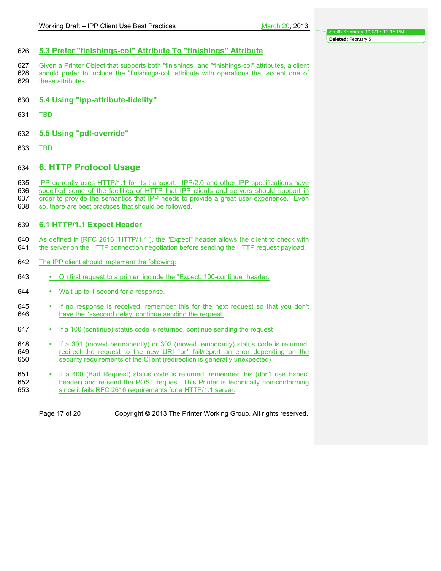| 626                      | 5.3 Prefer "finishings-col" Attribute To "finishings" Attribute                                                                                                                                                                                                                                                                        |
|--------------------------|----------------------------------------------------------------------------------------------------------------------------------------------------------------------------------------------------------------------------------------------------------------------------------------------------------------------------------------|
| 627<br>628<br>629        | Given a Printer Object that supports both "finishings" and "finishings-col" attributes, a client<br>should prefer to include the "finishings-col" attribute with operations that accept one of<br>these attributes.                                                                                                                    |
| 630                      | 5.4 Using "ipp-attribute-fidelity"                                                                                                                                                                                                                                                                                                     |
| 631                      | <b>TBD</b>                                                                                                                                                                                                                                                                                                                             |
| 632                      | 5.5 Using "pdl-override"                                                                                                                                                                                                                                                                                                               |
| 633                      | TBD                                                                                                                                                                                                                                                                                                                                    |
| 634                      | <b>6. HTTP Protocol Usage</b>                                                                                                                                                                                                                                                                                                          |
| 635<br>636<br>637<br>638 | IPP currently uses HTTP/1.1 for its transport. IPP/2.0 and other IPP specifications have<br>specified some of the facilities of HTTP that IPP clients and servers should support in<br>order to provide the semantics that IPP needs to provide a great user experience. Even<br>so, there are best practices that should be followed. |
| 639                      | 6.1 HTTP/1.1 Expect Header                                                                                                                                                                                                                                                                                                             |
| 640<br>641               | As defined in [RFC 2616 "HTTP/1.1"], the "Expect" header allows the client to check with<br>the server on the HTTP connection negotiation before sending the HTTP request payload.                                                                                                                                                     |
| 642                      | The IPP client should implement the following:                                                                                                                                                                                                                                                                                         |
| 643                      | • On first request to a printer, include the "Expect: 100-continue" header.                                                                                                                                                                                                                                                            |
| 644                      | • Wait up to 1 second for a response.                                                                                                                                                                                                                                                                                                  |
| 645<br>646               | • If no response is received, remember this for the next request so that you don't<br>have the 1-second delay; continue sending the request.                                                                                                                                                                                           |
| 647                      | • If a 100 (continue) status code is returned, continue sending the request                                                                                                                                                                                                                                                            |
| 648<br>649<br>650        | • If a 301 (moved permanently) or 302 (moved temporarily) status code is returned,<br>redirect the request to the new URI *or* fail/report an error depending on the<br>security requirements of the Client (redirection is generally unexpected)                                                                                      |
| 651<br>652<br>653        | • If a 400 (Bad Request) status code is returned, remember this (don't use Expect<br>header) and re-send the POST request. This Printer is technically non-conforming<br>since it fails RFC 2616 requirements for a HTTP/1.1 server.                                                                                                   |
|                          |                                                                                                                                                                                                                                                                                                                                        |

Page 17 of 20 Copyright © 2013 The Printer Working Group. All rights reserved.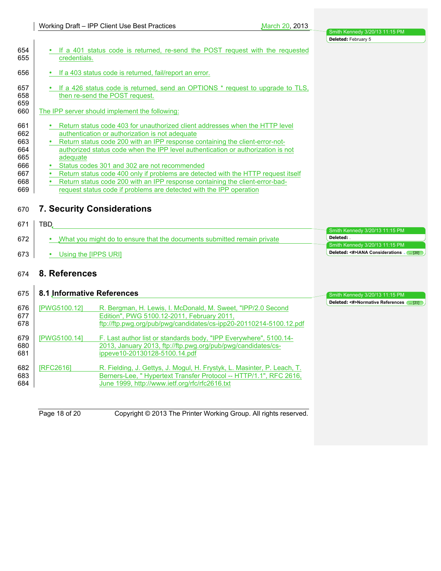|                                                             |                                                                                                                                                                                                                                                                                                                                                                                                                                                                                                                                                                                                                                       | Deleted: February 5                          |
|-------------------------------------------------------------|---------------------------------------------------------------------------------------------------------------------------------------------------------------------------------------------------------------------------------------------------------------------------------------------------------------------------------------------------------------------------------------------------------------------------------------------------------------------------------------------------------------------------------------------------------------------------------------------------------------------------------------|----------------------------------------------|
| 654<br>655                                                  | If a 401 status code is returned, re-send the POST request with the requested<br>credentials.                                                                                                                                                                                                                                                                                                                                                                                                                                                                                                                                         |                                              |
| 656                                                         | If a 403 status code is returned, fail/report an error.                                                                                                                                                                                                                                                                                                                                                                                                                                                                                                                                                                               |                                              |
| 657<br>658<br>659                                           | If a 426 status code is returned, send an OPTIONS * request to upgrade to TLS,<br>then re-send the POST request.                                                                                                                                                                                                                                                                                                                                                                                                                                                                                                                      |                                              |
| 660                                                         | The IPP server should implement the following:                                                                                                                                                                                                                                                                                                                                                                                                                                                                                                                                                                                        |                                              |
| 661<br>662<br>663<br>664<br>665<br>666<br>667<br>668<br>669 | Return status code 403 for unauthorized client addresses when the HTTP level<br>authentication or authorization is not adequate<br>Return status code 200 with an IPP response containing the client-error-not-<br>authorized status code when the IPP level authentication or authorization is not<br>adeguate<br>Status codes 301 and 302 are not recommended<br>$\bullet$<br>Return status code 400 only if problems are detected with the HTTP request itself<br>$\bullet$<br>Return status code 200 with an IPP response containing the client-error-bad-<br>request status code if problems are detected with the IPP operation |                                              |
| 670                                                         | <b>7. Security Considerations</b>                                                                                                                                                                                                                                                                                                                                                                                                                                                                                                                                                                                                     |                                              |
| 671                                                         | TBD.                                                                                                                                                                                                                                                                                                                                                                                                                                                                                                                                                                                                                                  | Smith Kennedy 3/20/13 11:15 PM               |
| 672                                                         | What you might do to ensure that the documents submitted remain private<br>٠                                                                                                                                                                                                                                                                                                                                                                                                                                                                                                                                                          | Deleted: .<br>Smith Kennedy 3/20/13 11:15 PM |
| 673                                                         | Using the [IPPS URI]                                                                                                                                                                                                                                                                                                                                                                                                                                                                                                                                                                                                                  | Deleted: <#>IANA Considerations              |

# 674 **8. References**

|     |                     |                                                                         | Smith Kennedy 3/20/13 11:15 PM<br>Deleted: <#>Normative References ( [21] |
|-----|---------------------|-------------------------------------------------------------------------|---------------------------------------------------------------------------|
| 676 | <b>IPWG5100.121</b> | R. Bergman, H. Lewis, I. McDonald, M. Sweet, "IPP/2.0 Second            |                                                                           |
| 677 |                     | Edition", PWG 5100.12-2011, February 2011,                              |                                                                           |
| 678 |                     | ftp://ftp.pwg.org/pub/pwg/candidates/cs-ipp20-20110214-5100.12.pdf      |                                                                           |
| 679 | <b>IPWG5100.141</b> | F. Last author list or standards body, "IPP Everywhere", 5100.14-       |                                                                           |
| 680 |                     | 2013, January 2013, ftp://ftp.pwg.org/pub/pwg/candidates/cs-            |                                                                           |
| 681 |                     | ippeye10-20130128-5100.14.pdf                                           |                                                                           |
| 682 | <b>IRFC26161</b>    | R. Fielding, J. Gettys, J. Mogul, H. Frystyk, L. Masinter, P. Leach, T. |                                                                           |
| 683 |                     | Berners-Lee, "Hypertext Transfer Protocol -- HTTP/1.1", RFC 2616,       |                                                                           |
| 684 |                     | June 1999, http://www.ietf.org/rfc/rfc2616.txt                          |                                                                           |
|     |                     |                                                                         |                                                                           |
|     |                     |                                                                         |                                                                           |
|     | Page 18 of 20       | Copyright © 2013 The Printer Working Group. All rights reserved.        |                                                                           |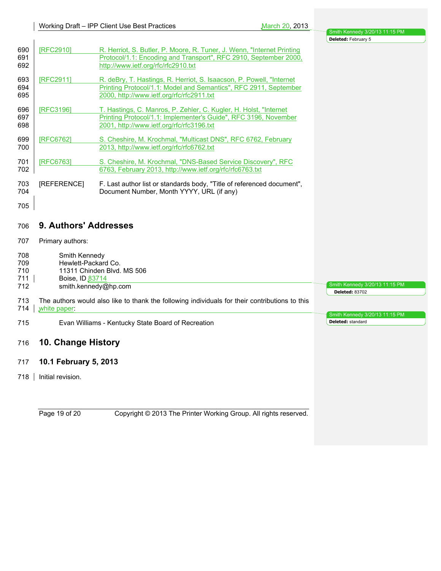Smith Kennedy 3/20/13 11:15 PM

Smith Kennedy 3/20/13 11:15 PM

**Deleted:** <sup>83702</sup>

**Deleted:** standard

| 690<br>691<br>692 | [RFC2910]                                                          | R. Herriot, S. Butler, P. Moore, R. Tuner, J. Wenn, "Internet Printing<br>Protocol/1.1: Encoding and Transport", RFC 2910, September 2000,<br>http://www.ietf.org/rfc/rfc2910.txt      |  |  |  |
|-------------------|--------------------------------------------------------------------|----------------------------------------------------------------------------------------------------------------------------------------------------------------------------------------|--|--|--|
| 693<br>694<br>695 | <b>IRFC29111</b>                                                   | R. deBry, T. Hastings, R. Herriot, S. Isaacson, P. Powell, "Internet"<br>Printing Protocol/1.1: Model and Semantics", RFC 2911, September<br>2000, http://www.ietf.org/rfc/rfc2911.txt |  |  |  |
| 696<br>697<br>698 | [RFC3196]                                                          | T. Hastings, C. Manros, P. Zehler, C. Kugler, H. Holst, "Internet<br>Printing Protocol/1.1: Implementer's Guide", RFC 3196, November<br>2001, http://www.ietf.org/rfc/rfc3196.txt      |  |  |  |
| 699<br>700        | [RFC6762]                                                          | S. Cheshire, M. Krochmal, "Multicast DNS", RFC 6762, February<br>2013, http://www.ietf.org/rfc/rfc6762.txt                                                                             |  |  |  |
| 701<br>702        | [RFC6763]                                                          | S. Cheshire, M. Krochmal, "DNS-Based Service Discovery", RFC<br>6763, February 2013, http://www.ietf.org/rfc/rfc6763.txt                                                               |  |  |  |
| 703<br>704        | [REFERENCE]                                                        | F. Last author list or standards body, "Title of referenced document",<br>Document Number, Month YYYY, URL (if any)                                                                    |  |  |  |
| 705               |                                                                    |                                                                                                                                                                                        |  |  |  |
| 706               | 9. Authors' Addresses                                              |                                                                                                                                                                                        |  |  |  |
| 707               | Primary authors:                                                   |                                                                                                                                                                                        |  |  |  |
| 708<br>709<br>710 | Smith Kennedy<br>Hewlett-Packard Co.<br>11311 Chinden Blvd. MS 506 |                                                                                                                                                                                        |  |  |  |

718 | Initial revision.

714 white paper:

 $\mathbf{I}$ 

711 | Boise, ID 83714<br>712 smith.kennedy@

**10. Change History**

**10.1 February 5, 2013**

smith.kennedy@hp.com

Evan Williams - Kentucky State Board of Recreation

The authors would also like to thank the following individuals for their contributions to this

Page 19 of 20 Copyright © 2013 The Printer Working Group. All rights reserved.